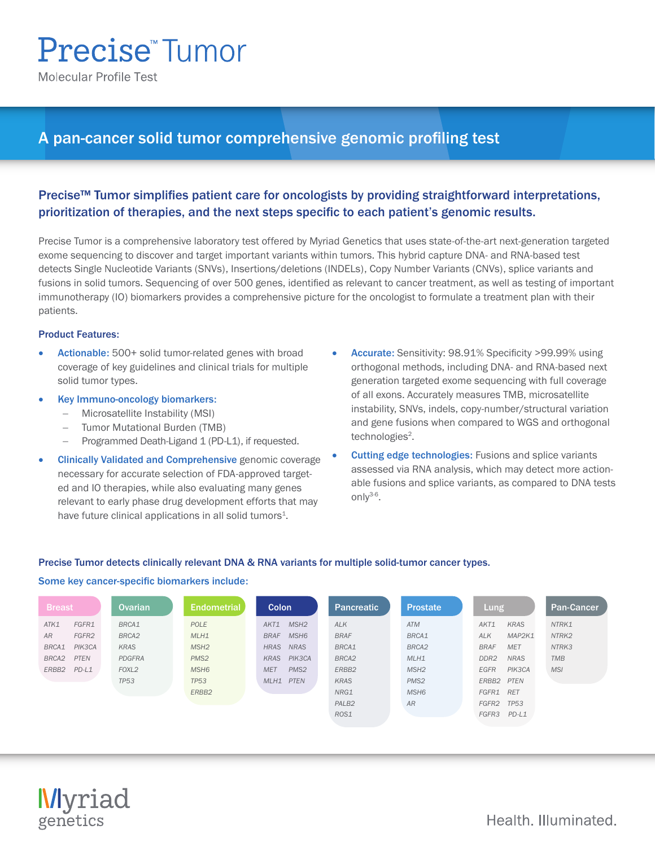# **Precise™Tumor**

**Molecular Profile Test** 

# A pan-cancer solid tumor comprehensive genomic profiling test

# Precise™ Tumor simplifies patient care for oncologists by providing straightforward interpretations, prioritization of therapies, and the next steps specific to each patient's genomic results.

Precise Tumor is a comprehensive laboratory test offered by Myriad Genetics that uses state-of-the-art next-generation targeted exome sequencing to discover and target important variants within tumors. This hybrid capture DNA- and RNA-based test detects Single Nucleotide Variants (SNVs), Insertions/deletions (INDELs), Copy Number Variants (CNVs), splice variants and fusions in solid tumors. Sequencing of over 500 genes, identified as relevant to cancer treatment, as well as testing of important immunotherapy (IO) biomarkers provides a comprehensive picture for the oncologist to formulate a treatment plan with their patients.

## Product Features:

- Actionable: 500+ solid tumor-related genes with broad coverage of key guidelines and clinical trials for multiple solid tumor types.
- Key Immuno-oncology biomarkers:
	- − Microsatellite Instability (MSI)
	- − Tumor Mutational Burden (TMB)
	- − Programmed Death-Ligand 1 (PD-L1), if requested.
- **Clinically Validated and Comprehensive genomic coverage** necessary for accurate selection of FDA-approved targeted and IO therapies, while also evaluating many genes relevant to early phase drug development efforts that may have future clinical applications in all solid tumors<sup>1</sup>.
- Accurate: Sensitivity: 98.91% Specificity >99.99% using orthogonal methods, including DNA- and RNA-based next generation targeted exome sequencing with full coverage of all exons. Accurately measures TMB, microsatellite instability, SNVs, indels, copy-number/structural variation and gene fusions when compared to WGS and orthogonal technologies<sup>2</sup>.
- **Cutting edge technologies:** Fusions and splice variants assessed via RNA analysis, which may detect more actionable fusions and splice variants, as compared to DNA tests onl $V^{3-6}$ .

## Precise Tumor detects clinically relevant DNA & RNA variants for multiple solid-tumor cancer types.

#### Some key cancer-specific biomarkers include:

| <b>Breast</b> |         | <b>Ovarian</b>    | <b>Endometrial</b> | <b>Colon</b>                    | Pancreatic        | <b>Prostate</b>  | <b>Lung</b>      |             | <b>Pan-Cancer</b> |
|---------------|---------|-------------------|--------------------|---------------------------------|-------------------|------------------|------------------|-------------|-------------------|
| ATK1          | FGFR1   | BRCA1             | POLE               | MSH <sub>2</sub><br>AKT1        | <b>ALK</b>        | <b>ATM</b>       | AKT1             | <b>KRAS</b> | NTRK1             |
| <b>AR</b>     | FGFR2   | BRCA <sub>2</sub> | MLH1               | MSH <sub>6</sub><br><b>BRAF</b> | <b>BRAF</b>       | BRCA1            | <b>ALK</b>       | MAP2K1      | NTRK2             |
| BRCA1         | PIK3CA  | KRAS              | MSH <sub>2</sub>   | <b>NRAS</b><br><b>HRAS</b>      | BRCA1             | BRCA2            | <b>BRAF</b>      | <b>MET</b>  | NTRK3             |
| BRCA2         | PTEN    | PDGFRA            | PMS <sub>2</sub>   | PIK3CA<br>KRAS                  | BRCA2             | MLH1             | DDR <sub>2</sub> | <b>NRAS</b> | <b>TMB</b>        |
| ERBB2         | $PD-L1$ | FOXL <sub>2</sub> | MSH <sub>6</sub>   | <b>MET</b><br>PMS <sub>2</sub>  | ERBB2             | MSH <sub>2</sub> | EGFR             | PIK3CA      | <b>MSI</b>        |
|               |         | <b>TP53</b>       | <b>TP53</b>        | <b>PTEN</b><br>MLH1             | <b>KRAS</b>       | PMS <sub>2</sub> | ERBB2 PTEN       |             |                   |
|               |         |                   | ERBB <sub>2</sub>  |                                 | NRG1              | MSH <sub>6</sub> | FGFR1 RET        |             |                   |
|               |         |                   |                    |                                 | PALB <sub>2</sub> | <b>AR</b>        | FGFR2            | <b>TP53</b> |                   |
|               |         |                   |                    |                                 | ROS1              |                  | FGFR3            | $PD-L1$     |                   |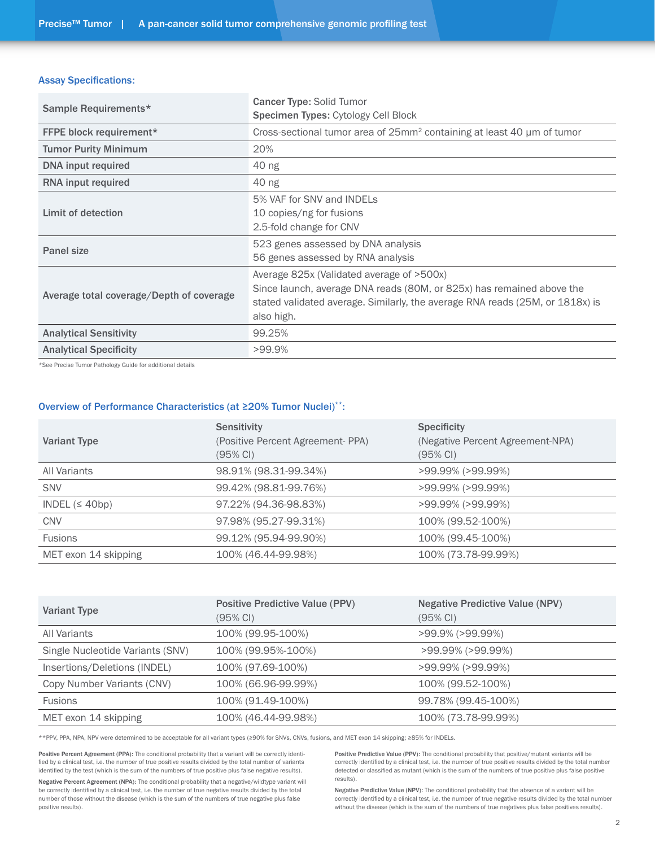#### Assay Specifications:

| Sample Requirements*                     | <b>Cancer Type: Solid Tumor</b>                                                                                                                                                                                   |  |  |  |  |  |
|------------------------------------------|-------------------------------------------------------------------------------------------------------------------------------------------------------------------------------------------------------------------|--|--|--|--|--|
|                                          | <b>Specimen Types: Cytology Cell Block</b>                                                                                                                                                                        |  |  |  |  |  |
| <b>FFPE block requirement*</b>           | Cross-sectional tumor area of 25mm <sup>2</sup> containing at least 40 µm of tumor                                                                                                                                |  |  |  |  |  |
| <b>Tumor Purity Minimum</b>              | 20%                                                                                                                                                                                                               |  |  |  |  |  |
| <b>DNA</b> input required                | 40 ng                                                                                                                                                                                                             |  |  |  |  |  |
| <b>RNA</b> input required                | 40 ng                                                                                                                                                                                                             |  |  |  |  |  |
| Limit of detection                       | 5% VAF for SNV and INDELs<br>10 copies/ng for fusions<br>2.5-fold change for CNV                                                                                                                                  |  |  |  |  |  |
| Panel size                               | 523 genes assessed by DNA analysis<br>56 genes assessed by RNA analysis                                                                                                                                           |  |  |  |  |  |
| Average total coverage/Depth of coverage | Average 825x (Validated average of >500x)<br>Since launch, average DNA reads (80M, or 825x) has remained above the<br>stated validated average. Similarly, the average RNA reads (25M, or 1818x) is<br>also high. |  |  |  |  |  |
| <b>Analytical Sensitivity</b>            | 99.25%                                                                                                                                                                                                            |  |  |  |  |  |
| <b>Analytical Specificity</b>            | $>99.9\%$                                                                                                                                                                                                         |  |  |  |  |  |

\*See Precise Tumor Pathology Guide for additional details

#### Overview of Performance Characteristics (at ≥20% Tumor Nuclei)\*\*:

| <b>Variant Type</b>  | <b>Sensitivity</b><br>(Positive Percent Agreement- PPA)<br>(95% CI) | <b>Specificity</b><br>(Negative Percent Agreement-NPA)<br>(95% CI) |
|----------------------|---------------------------------------------------------------------|--------------------------------------------------------------------|
| All Variants         | 98.91% (98.31-99.34%)                                               | >99.99% (>99.99%)                                                  |
| <b>SNV</b>           | 99.42% (98.81-99.76%)                                               | >99.99% (>99.99%)                                                  |
| INDEL $(≤ 40bp)$     | 97.22% (94.36-98.83%)                                               | >99.99% (>99.99%)                                                  |
| <b>CNV</b>           | 97.98% (95.27-99.31%)                                               | 100% (99.52-100%)                                                  |
| Fusions              | 99.12% (95.94-99.90%)                                               | 100% (99.45-100%)                                                  |
| MET exon 14 skipping | 100% (46.44-99.98%)                                                 | 100% (73.78-99.99%)                                                |

| <b>Variant Type</b>              | <b>Positive Predictive Value (PPV)</b><br>$(95% \text{ CI})$ | <b>Negative Predictive Value (NPV)</b><br>(95% CI) |
|----------------------------------|--------------------------------------------------------------|----------------------------------------------------|
| All Variants                     | 100% (99.95-100%)                                            | $>99.9\%$ ( $>99.99\%$ )                           |
| Single Nucleotide Variants (SNV) | 100% (99.95%-100%)                                           | >99.99% (>99.99%)                                  |
| Insertions/Deletions (INDEL)     | 100% (97.69-100%)                                            | >99.99% (>99.99%)                                  |
| Copy Number Variants (CNV)       | 100% (66.96-99.99%)                                          | 100% (99.52-100%)                                  |
| <b>Fusions</b>                   | 100% (91.49-100%)                                            | 99.78% (99.45-100%)                                |
| MET exon 14 skipping             | 100% (46.44-99.98%)                                          | 100% (73.78-99.99%)                                |

\*\*PPV, PPA, NPA, NPV were determined to be acceptable for all variant types (≥90% for SNVs, CNVs, fusions, and MET exon 14 skipping; ≥85% for INDELs.

Positive Percent Agreement (PPA): The conditional probability that a variant will be correctly identified by a clinical test, i.e. the number of true positive results divided by the total number of variants identified by the test (which is the sum of the numbers of true positive plus false negative results).

Negative Percent Agreement (NPA): The conditional probability that a negative/wildtype variant will be correctly identified by a clinical test, i.e. the number of true negative results divided by the total number of those without the disease (which is the sum of the numbers of true negative plus false positive results).

Positive Predictive Value (PPV): The conditional probability that positive/mutant variants will be correctly identified by a clinical test, i.e. the number of true positive results divided by the total number detected or classified as mutant (which is the sum of the numbers of true positive plus false positive results).

Negative Predictive Value (NPV): The conditional probability that the absence of a variant will be correctly identified by a clinical test, i.e. the number of true negative results divided by the total number without the disease (which is the sum of the numbers of true negatives plus false positives results).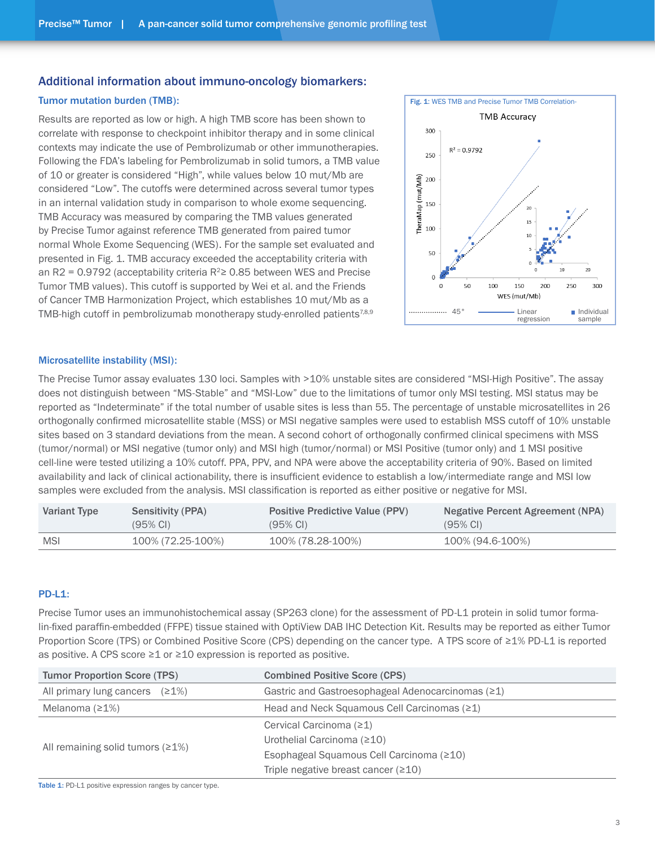# Additional information about immuno-oncology biomarkers:

### Tumor mutation burden (TMB):

Results are reported as low or high. A high TMB score has been shown to correlate with response to checkpoint inhibitor therapy and in some clinical contexts may indicate the use of Pembrolizumab or other immunotherapies. Following the FDA's labeling for Pembrolizumab in solid tumors, a TMB value of 10 or greater is considered "High", while values below 10 mut/Mb are considered "Low". The cutoffs were determined across several tumor types in an internal validation study in comparison to whole exome sequencing. TMB Accuracy was measured by comparing the TMB values generated by Precise Tumor against reference TMB generated from paired tumor normal Whole Exome Sequencing (WES). For the sample set evaluated and presented in Fig. 1. TMB accuracy exceeded the acceptability criteria with an R2 = 0.9792 (acceptability criteria  $R^2 \ge 0.85$  between WES and Precise Tumor TMB values). This cutoff is supported by Wei et al. and the Friends of Cancer TMB Harmonization Project, which establishes 10 mut/Mb as a TMB-high cutoff in pembrolizumab monotherapy study-enrolled patients<sup>7,8,9</sup>



#### Microsatellite instability (MSI):

The Precise Tumor assay evaluates 130 loci. Samples with >10% unstable sites are considered "MSI-High Positive". The assay does not distinguish between "MS-Stable" and "MSI-Low" due to the limitations of tumor only MSI testing. MSI status may be reported as "Indeterminate" if the total number of usable sites is less than 55. The percentage of unstable microsatellites in 26 orthogonally confirmed microsatellite stable (MSS) or MSI negative samples were used to establish MSS cutoff of 10% unstable sites based on 3 standard deviations from the mean. A second cohort of orthogonally confirmed clinical specimens with MSS (tumor/normal) or MSI negative (tumor only) and MSI high (tumor/normal) or MSI Positive (tumor only) and 1 MSI positive cell-line were tested utilizing a 10% cutoff. PPA, PPV, and NPA were above the acceptability criteria of 90%. Based on limited availability and lack of clinical actionability, there is insufficient evidence to establish a low/intermediate range and MSI low samples were excluded from the analysis. MSI classification is reported as either positive or negative for MSI.

| <b>Variant Type</b> | Sensitivity (PPA)   | <b>Positive Predictive Value (PPV)</b> | Negative Percent Agreement (NPA) |  |  |  |
|---------------------|---------------------|----------------------------------------|----------------------------------|--|--|--|
|                     | $(95\% \text{ Cl})$ | $(95\% \text{ Cl})$                    | $(95\% \text{ Cl})$              |  |  |  |
| <b>MSI</b>          | 100% (72.25-100%)   | 100% (78.28-100%)                      | 100% (94.6-100%)                 |  |  |  |

# PD-L1:

Precise Tumor uses an immunohistochemical assay (SP263 clone) for the assessment of PD-L1 protein in solid tumor formalin-fixed paraffin-embedded (FFPE) tissue stained with OptiView DAB IHC Detection Kit. Results may be reported as either Tumor Proportion Score (TPS) or Combined Positive Score (CPS) depending on the cancer type. A TPS score of ≥1% PD-L1 is reported as positive. A CPS score  $\geq 1$  or  $\geq 10$  expression is reported as positive.

| <b>Tumor Proportion Score (TPS)</b> | <b>Combined Positive Score (CPS)</b>                |
|-------------------------------------|-----------------------------------------------------|
| All primary lung cancers $(21%)$    | Gastric and Gastroesophageal Adenocarcinomas $(21)$ |
| Melanoma $(21%)$                    | Head and Neck Squamous Cell Carcinomas (≥1)         |
|                                     | Cervical Carcinoma $(21)$                           |
|                                     | Urothelial Carcinoma (≥10)                          |
| All remaining solid tumors $(21%)$  | Esophageal Squamous Cell Carcinoma (≥10)            |
|                                     | Triple negative breast cancer $(210)$               |

Table 1: PD-L1 positive expression ranges by cancer type.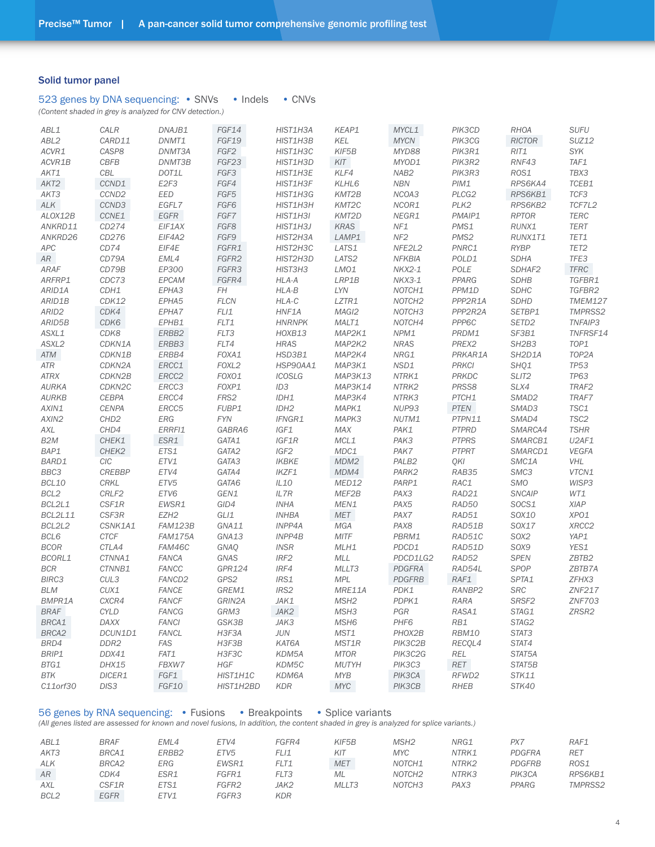#### Solid tumor panel

|  |  | 523 genes by DNA sequencing: • SNVs |  |  |  |  | $\cdot$ Indels |  | $\bullet$ CNVs |
|--|--|-------------------------------------|--|--|--|--|----------------|--|----------------|
|--|--|-------------------------------------|--|--|--|--|----------------|--|----------------|

*(Content shaded in grey is analyzed for CNV detection.)*

| ABL1              | CALR               | DNAJB1             | FGF14            | HIST1H3A         | KEAP1            | MYCL1              | PIK3CD            | <b>RHOA</b>                    | <b>SUFU</b>        |
|-------------------|--------------------|--------------------|------------------|------------------|------------------|--------------------|-------------------|--------------------------------|--------------------|
| ABL <sub>2</sub>  | CARD11             | DNMT1              | FGF19            | HIST1H3B         | <b>KEL</b>       | <b>MYCN</b>        | PIK3CG            | RICTOR                         | <b>SUZ12</b>       |
| ACVR1             | CASP8              | DNMT3A             | FGF <sub>2</sub> | HIST1H3C         | KIF5B            | MYD88              | PIK3R1            | RIT1                           | SYK                |
| ACVR1B            | <b>CBFB</b>        | DNMT3B             | FGF23            | HIST1H3D         | KIT              | MYOD1              | PIK3R2            | RNF43                          | TAF1               |
| AKT1              | CBL                | DOT1L              | FGF3             | HIST1H3E         | KLF4             | NAB <sub>2</sub>   | PIK3R3            | ROS1                           | TBX3               |
| AKT2              | CCND1              | E2F3               | FGF4             | HIST1H3F         | KLHL6            | <b>NBN</b>         | PIM1              | RPS6KA4                        | TCEB1              |
| AKT3              | CCND <sub>2</sub>  | EED                | FGF5             | HIST1H3G         | KMT2B            | NCOA3              | PLCG <sub>2</sub> | RPS6KB1                        | TCF3               |
| ALK               | CCND3              | EGFL7              | FGF6             | HIST1H3H         | KMT2C            | NCOR1              | PLK <sub>2</sub>  | RPS6KB2                        | TCF7L2             |
| ALOX12B           | CCNE1              | $EGFR$             | FGF7             | HIST1H3I         | KMT2D            | NEGR1              | PMAIP1            | <b>RPTOR</b>                   | <b>TERC</b>        |
| ANKRD11           | CD274              | EIF1AX             | FGF8             | HIST1H3J         | <b>KRAS</b>      | NF1                | PMS1              | RUNX1                          | <b>TERT</b>        |
| ANKRD26           | CD276              | EIF4A2             | FGF9             | HIST2H3A         | LAMP1            | NF <sub>2</sub>    | PMS <sub>2</sub>  | RUNX1T1                        | TET1               |
| <b>APC</b>        | CD74               | EIF4E              | FGFR1            | HIST2H3C         | LATS1            | NFE2L2             | PNRC1             | <b>RYBP</b>                    | TET <sub>2</sub>   |
| AR                | CD79A              | EML4               | FGFR2            | HIST2H3D         | LATS2            | <b>NFKBIA</b>      | POLD1             | <b>SDHA</b>                    | TFE3               |
|                   |                    | EP300              | FGFR3            |                  |                  |                    |                   |                                |                    |
| <b>ARAF</b>       | CD79B              | EPCAM              |                  | HIST3H3          | LMO1<br>LRP1B    | NKX2-1             | POLE<br>PPARG     | SDHAF2                         | $TFRC$<br>TGFBR1   |
| ARFRP1            | CDC73              |                    | FGFR4            | HLA-A            |                  | NKX3-1             |                   | <b>SDHB</b>                    |                    |
| ARID1A            | CDH1               | EPHA3              | FH               | HLA-B            | LYN              | NOTCH1             | PPM1D             | <b>SDHC</b>                    | TGFBR2             |
| ARID1B            | CDK12              | EPHA5              | <b>FLCN</b>      | HLA-C            | LZTR1            | NOTCH <sub>2</sub> | PPP2R1A           | <b>SDHD</b>                    | <b>TMEM127</b>     |
| ARID <sub>2</sub> | CDK4               | EPHA7              | FLI1             | HNF1A            | MAGI2            | NOTCH <sub>3</sub> | PPP2R2A           | SETBP1                         | <b>TMPRSS2</b>     |
| ARID5B            | CDK6               | EPHB1              | FLT1             | <b>HNRNPK</b>    | MALT1            | NOTCH4             | PPP6C             | SETD <sub>2</sub>              | TNFAIP3            |
| ASXL1             | CDK8               | ERBB2              | FLT3             | HOXB13           | MAP2K1           | NPM1               | PRDM1             | SF3B1                          | TNFRSF14           |
| ASXL2             | CDKN1A             | ERBB3              | FLT4             | <b>HRAS</b>      | MAP2K2           | <b>NRAS</b>        | PREX2             | SH <sub>2</sub> B <sub>3</sub> | TOP1               |
| ATM               | CDKN1B             | ERBB4              | FOXA1            | HSD3B1           | MAP2K4           | NRG1               | PRKAR1A           | SH2D1A                         | TOP <sub>2</sub> A |
| ATR               | CDKN2A             | ERCC1              | FOXL2            | HSP90AA1         | MAP3K1           | NSD1               | <b>PRKCI</b>      | SHQ1                           | <b>TP53</b>        |
| <b>ATRX</b>       | CDKN2B             | ERCC2              | FOXO1            | <b>ICOSLG</b>    | MAP3K13          | NTRK1              | PRKDC             | SLIT <sub>2</sub>              | <b>TP63</b>        |
| <b>AURKA</b>      | CDKN <sub>2C</sub> | ERCC3              | FOXP1            | ID3              | MAP3K14          | NTRK2              | PRSS8             | SLX4                           | TRAF2              |
| <b>AURKB</b>      | <b>CEBPA</b>       | ERCC4              | FRS2             | IDH1             | MAP3K4           | NTRK3              | PTCH1             | SMAD <sub>2</sub>              | TRAF7              |
| AXIN1             | <b>CENPA</b>       | ERCC5              | FUBP1            | IDH <sub>2</sub> | MAPK1            | NUP93              | <b>PTEN</b>       | SMAD3                          | TSC1               |
| AXIN2             | CHD <sub>2</sub>   | <b>ERG</b>         | <b>FYN</b>       | IFNGR1           | MAPK3            | NUTM1              | PTPN11            | SMAD4                          | TSC <sub>2</sub>   |
| AXL               | CHD4               | ERRFI1             | GABRA6           | IGF1             | MAX              | PAK1               | <b>PTPRD</b>      | SMARCA4                        | <b>TSHR</b>        |
| B <sub>2</sub> M  | CHEK1              | ESR1               | GATA1            | IGF1R            | MCL1             | PAK3               | <b>PTPRS</b>      | SMARCB1                        | U2AF1              |
| BAP1              | CHEK2              | ETS1               | GATA2            | IGF2             | MDC1             | PAK7               | <b>PTPRT</b>      | SMARCD1                        | VEGFA              |
| BARD1             | CIC                | ETV1               | GATA3            | <b>IKBKE</b>     | MDM2             | PALB <sub>2</sub>  | QKI               | SMC1A                          | VHL                |
| BBC3              | <b>CREBBP</b>      | ETV4               | GATA4            | IKZF1            | MDM4             | PARK2              | RAB35             | SMC3                           | VTCN1              |
| BCL10             | <b>CRKL</b>        | ETV <sub>5</sub>   | GATA6            | IL10             | MED12            | PARP1              | RAC1              | <b>SMO</b>                     | WISP3              |
| BCL <sub>2</sub>  | CRLF2              | ETV6               | GEN1             | IL7R             | MEF2B            | PAX3               | RAD21             | <b>SNCAIP</b>                  | WT1                |
| BCL2L1            | CSF1R              | EWSR1              | GID4             | INHA             | MEN1             | PAX5               | RAD50             | SOCS1                          | XIAP               |
| <b>BCL2L11</b>    | CSF3R              | EZH <sub>2</sub>   | GLI1             | <b>INHBA</b>     | <b>MET</b>       | PAX7               | RAD51             | SOX10                          | XPO1               |
| BCL2L2            | CSNK1A1            | <b>FAM123B</b>     | GNA11            | INPP4A           | MGA              | PAX8               | RAD51B            | SOX17                          | XRCC2              |
| BCL6              | CTCF               | <b>FAM175A</b>     | GNA13            | INPP4B           | <b>MITF</b>      | PBRM1              | RAD51C            | SOX2                           | YAP1               |
| <b>BCOR</b>       | CTLA4              | FAM46C             | GNAQ             | <b>INSR</b>      | MLH1             | PDCD1              | RAD51D            | SOX9                           | YES1               |
|                   |                    |                    |                  |                  |                  |                    | RAD52             |                                |                    |
| BCORL1            | CTNNA1             | <b>FANCA</b>       | GNAS             | IRF <sub>2</sub> | <b>MLL</b>       | PDCD1LG2           |                   | <b>SPEN</b>                    | ZBTB2              |
| <b>BCR</b>        | CTNNB1             | <b>FANCC</b>       | GPR124           | IRF4             | MLLT3            | PDGFRA             | RAD54L            | SPOP                           | ZBTB7A             |
| <b>BIRC3</b>      | CUL3               | FANCD <sub>2</sub> | GPS2             | IRS1             | <b>MPL</b>       | <b>PDGFRB</b>      | RAF1              | SPTA1                          | ZFHX3              |
| <b>BLM</b>        | CUX1               | <b>FANCE</b>       | GREM1            | IRS2             | MRE11A           | PDK1               | RANBP2            | <b>SRC</b>                     | <b>ZNF217</b>      |
| BMPR1A            | CXCR4              | <b>FANCF</b>       | GRIN2A           | JAK1             | MSH <sub>2</sub> | PDPK1              | <b>RARA</b>       | SRSF <sub>2</sub>              | <b>ZNF703</b>      |
| <b>BRAF</b>       | CYLD               | <b>FANCG</b>       | GRM3             | JAK2             | MSH3             | PGR                | RASA1             | STAG1                          | ZRSR2              |
| BRCA1             | DAXX               | <b>FANCI</b>       | GSK3B            | JAK3             | MSH <sub>6</sub> | PHF <sub>6</sub>   | RB1               | STAG2                          |                    |
| BRCA2             | DCUN1D1            | <b>FANCL</b>       | H3F3A            | <b>JUN</b>       | MST1             | PHOX2B             | <b>RBM10</b>      | STAT3                          |                    |
| BRD4              | DDR <sub>2</sub>   | <b>FAS</b>         | H3F3B            | KAT6A            | MST1R            | PIK3C2B            | RECOL4            | STAT4                          |                    |
| BRIP1             | DDX41              | FAT1               | H3F3C            | KDM5A            | <b>MTOR</b>      | PIK3C2G            | <b>REL</b>        | STAT5A                         |                    |
| BTG1              | DHX15              | FBXW7              | <b>HGF</b>       | KDM5C            | <b>MUTYH</b>     | PIK3C3             | RET               | STAT5B                         |                    |
| BTK               | DICER1             | FGF1               | HIST1H1C         | KDM6A            | <b>MYB</b>       | PIK3CA             | RFWD2             | STK11                          |                    |
| C11orf30          | DIS3               | FGF10              | HIST1H2BD        | <b>KDR</b>       | <b>MYC</b>       | PIK3CB             | <b>RHEB</b>       | STK40                          |                    |

56 genes by RNA sequencing: • Fusions • Breakpoints • Splice variants *(All genes listed are assessed for known and novel fusions, In addition, the content shaded in grey is analyzed for splice variants.)*

| ABL1             | <b>BRAF</b> | EML4              | ETV4             | FGFR4      | KIF5B      | MSH2               | NRG1  | PX7           | RAF1           |
|------------------|-------------|-------------------|------------------|------------|------------|--------------------|-------|---------------|----------------|
| AKT3             | BRCA1       | ERBB <sub>2</sub> | ETV <sub>5</sub> | FLI1       | KIT        | MYC                | NTRK1 | PDGFRA        | <b>RET</b>     |
| <b>ALK</b>       | BRCA2       | ERG               | EWSR1            | FLT1       | <b>MET</b> | NOTCH1             | NTRK2 | <b>PDGFRB</b> | ROS1           |
| AR               | CDK4        | ESR1              | FGFR1            | FLT3       | ML         | NOTCH <sub>2</sub> | NTRK3 | PIK3CA        | RPS6KB1        |
| <b>AXL</b>       | CSF1R       | ETS1              | FGFR2            | JAK2       | MLLT3      | NOTCH <sub>3</sub> | PAX3  | PPARG         | <b>TMPRSS2</b> |
| BCL <sub>2</sub> | EGFR        | FTV1              | <b>FGFR3</b>     | <b>KDR</b> |            |                    |       |               |                |